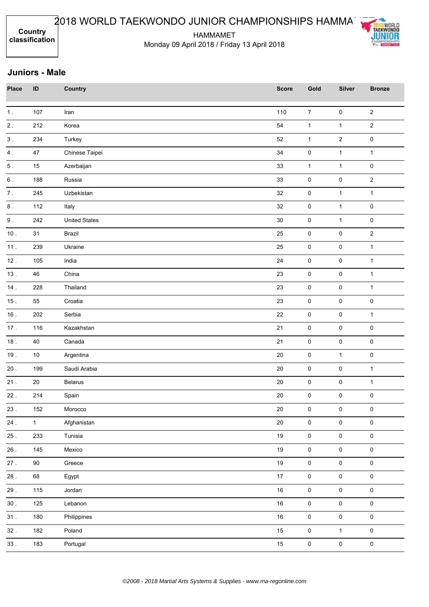HAMMAMET Monday 09 April 2018 / Friday 13 April 2018



| <b>Place</b>  | ID           | Country              | <b>Score</b> | Gold                | <b>Silver</b>       | <b>Bronze</b>       |
|---------------|--------------|----------------------|--------------|---------------------|---------------------|---------------------|
| 1.            | 107          | Iran                 | 110          | $\boldsymbol{7}$    | $\pmb{0}$           | $\sqrt{2}$          |
| $\mathbf 2$ . | 212          | Korea                | 54           | $\mathbf{1}$        | $\mathbf{1}$        | $\overline{2}$      |
| $3$ .         | 234          | Turkey               | 52           | $\mathbf{1}$        | $\overline{2}$      | $\pmb{0}$           |
| 4.            | 47           | Chinese Taipei       | 34           | $\pmb{0}$           | $\mathbf{1}$        | $\mathbf{1}$        |
| $5$ .         | $15\,$       | Azerbaijan           | 33           | $\mathbf{1}$        | $\mathbf{1}$        | $\mathbf 0$         |
| $6$ .         | 188          | Russia               | 33           | $\pmb{0}$           | $\pmb{0}$           | $\overline{2}$      |
| $\bf 7$ .     | 245          | Uzbekistan           | 32           | $\pmb{0}$           | $\mathbf{1}$        | $\mathbf{1}$        |
| $\bf 8$ .     | 112          | Italy                | 32           | $\mathsf{O}\xspace$ | $\mathbf{1}$        | $\pmb{0}$           |
| $9$ .         | 242          | <b>United States</b> | $30\,$       | $\pmb{0}$           | $\mathbf{1}$        | $\mathbf 0$         |
| $10.$         | 31           | Brazil               | 25           | $\pmb{0}$           | $\pmb{0}$           | $\mathbf 2$         |
| 11.           | 239          | Ukraine              | 25           | $\pmb{0}$           | $\pmb{0}$           | $\mathbf{1}$        |
| 12.           | 105          | India                | 24           | $\pmb{0}$           | $\pmb{0}$           | $\mathbf{1}$        |
| 13.           | 46           | China                | 23           | $\pmb{0}$           | $\mathbf 0$         | $\mathbf{1}$        |
| 14.           | 228          | Thailand             | 23           | $\pmb{0}$           | $\pmb{0}$           | $\mathbf{1}$        |
| 15.           | 55           | Croatia              | 23           | $\pmb{0}$           | $\pmb{0}$           | $\mathbf 0$         |
| 16.           | 202          | Serbia               | 22           | $\pmb{0}$           | 0                   | $\mathbf 1$         |
| 17.           | 116          | Kazakhstan           | 21           | $\pmb{0}$           | $\pmb{0}$           | $\mathbf 0$         |
| 18.           | 40           | Canada               | 21           | $\pmb{0}$           | $\pmb{0}$           | $\mathbf 0$         |
| 19.           | $10\,$       | Argentina            | $20\,$       | $\pmb{0}$           | $\mathbf{1}$        | $\mathbf 0$         |
| $20$ .        | 199          | Saudi Arabia         | $20\,$       | $\pmb{0}$           | $\pmb{0}$           | $\mathbf{1}$        |
| 21.           | $20\,$       | <b>Belarus</b>       | 20           | $\pmb{0}$           | $\pmb{0}$           | $\mathbf 1$         |
| 22.           | 214          | Spain                | 20           | $\pmb{0}$           | $\pmb{0}$           | $\mathbf 0$         |
| 23.           | 152          | Morocco              | 20           | 0                   | 0                   | 0                   |
| 24.           | $\mathbf{1}$ | Afghanistan          | $20\,$       | $\pmb{0}$           | $\pmb{0}$           | $\mathbf 0$         |
| 25.           | 233          | Tunisia              | 19           | $\mathsf{O}\xspace$ | $\mathbf 0$         | $\mathsf{O}\xspace$ |
| 26.           | 145          | Mexico               | 19           | $\mathsf{O}\xspace$ | $\mathbf 0$         | $\mathbf 0$         |
| 27.           | 90           | Greece               | 19           | $\mathbf 0$         | $\pmb{0}$           | $\pmb{0}$           |
| 28.           | 68           | Egypt                | 17           | $\mathbf 0$         | $\pmb{0}$           | $\pmb{0}$           |
| 29.           | 115          | Jordan               | $16\,$       | $\mathbf 0$         | $\mathbf 0$         | $\pmb{0}$           |
| $30.$         | 125          | Lebanon              | $16\,$       | $\mathbf 0$         | $\mathsf{O}\xspace$ | $\mathbf 0$         |
| 31.           | 180          | Philippines          | 16           | $\mathbf 0$         | $\pmb{0}$           | $\pmb{0}$           |
| 32.           | 182          | Poland               | 15           | $\mathsf{O}\xspace$ | $\mathbf{1}$        | $\mathsf{O}\xspace$ |
| 33.           | 183          | Portugal             | 15           | $\mathbf 0$         | $\mathsf{O}\xspace$ | $\pmb{0}$           |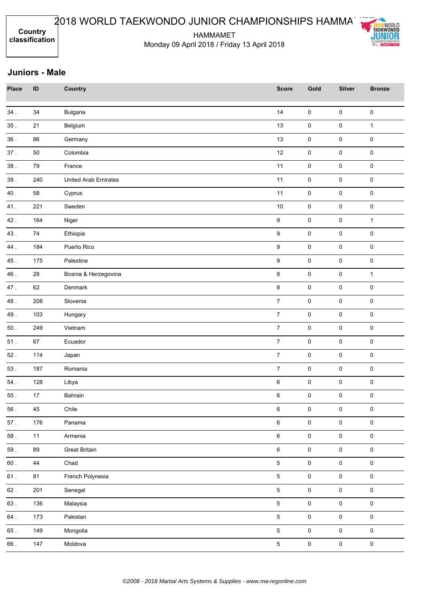HAMMAMET Monday 09 April 2018 / Friday 13 April 2018



| <b>Place</b> | ID  | <b>Country</b>              | <b>Score</b>     | Gold                | <b>Silver</b> | <b>Bronze</b>       |
|--------------|-----|-----------------------------|------------------|---------------------|---------------|---------------------|
| 34.          | 34  | <b>Bulgaria</b>             | 14               | $\mathsf 0$         | $\mathsf 0$   | $\pmb{0}$           |
| 35.          | 21  | Belgium                     | 13               | $\pmb{0}$           | $\pmb{0}$     | $\mathbf{1}$        |
| 36.          | 86  | Germany                     | 13               | $\pmb{0}$           | 0             | $\mathbf 0$         |
| 37.          | 50  | Colombia                    | 12               | $\mathsf 0$         | $\mathbf 0$   | $\mathbf 0$         |
| 38.          | 79  | France                      | 11               | $\mathsf 0$         | $\mathsf 0$   | $\pmb{0}$           |
| 39.          | 240 | <b>United Arab Emirates</b> | 11               | $\pmb{0}$           | $\pmb{0}$     | $\pmb{0}$           |
| 40.          | 58  | Cyprus                      | 11               | $\pmb{0}$           | 0             | $\pmb{0}$           |
| 41.          | 221 | Sweden                      | $10$             | $\pmb{0}$           | 0             | $\mathbf 0$         |
| 42.          | 164 | Niger                       | $\boldsymbol{9}$ | $\pmb{0}$           | 0             | $\mathbf 1$         |
| 43.          | 74  | Ethiopia                    | $\boldsymbol{9}$ | $\pmb{0}$           | $\pmb{0}$     | $\pmb{0}$           |
| 44.          | 184 | Puerto Rico                 | $\boldsymbol{9}$ | $\mathsf 0$         | $\pmb{0}$     | $\mathbf 0$         |
| 45.          | 175 | Palestine                   | 9                | $\mathsf 0$         | $\pmb{0}$     | $\mathbf 0$         |
| 46.          | 28  | Bosnia & Herzegovina        | 8                | $\mathsf 0$         | $\pmb{0}$     | $\mathbf{1}$        |
| 47.          | 62  | Denmark                     | 8                | $\mathsf{O}\xspace$ | 0             | $\pmb{0}$           |
| 48.          | 208 | Slovenia                    | $\overline{7}$   | $\mathsf{O}\xspace$ | 0             | $\pmb{0}$           |
| 49.          | 103 | Hungary                     | $\overline{7}$   | $\pmb{0}$           | $\pmb{0}$     | $\mathbf 0$         |
| $50$ .       | 249 | Vietnam                     | $\overline{7}$   | $\pmb{0}$           | $\pmb{0}$     | $\mathbf 0$         |
| 51.          | 67  | Ecuador                     | $\overline{7}$   | $\pmb{0}$           | $\pmb{0}$     | $\mathbf 0$         |
| 52.          | 114 | Japan                       | $\overline{7}$   | $\pmb{0}$           | $\pmb{0}$     | $\mathbf 0$         |
| 53.          | 187 | Romania                     | $\overline{7}$   | $\mathsf 0$         | $\pmb{0}$     | $\mathbf 0$         |
| $54$ .       | 128 | Libya                       | $\,6\,$          | $\pmb{0}$           | $\mathbf 0$   | $\mathbf 0$         |
| 55.          | 17  | Bahrain                     | $\,6\,$          | $\mathsf{O}\xspace$ | 0             | $\pmb{0}$           |
| 56.          | 45  | Chile                       | 6                | 0                   | 0             | 0                   |
| $57$ .       | 176 | Panama                      | $\,6\,$          | $\mathsf{O}\xspace$ | $\mathbf 0$   | $\pmb{0}$           |
| 58.          | 11  | Armenia                     | $\,6\,$          | $\mathbf 0$         | $\mathbf 0$   | $\mathsf{O}\xspace$ |
| $59$ .       | 89  | <b>Great Britain</b>        | $\,6\,$          | $\mathsf{O}\xspace$ | $\mathbf 0$   | $\pmb{0}$           |
| 60.          | 44  | Chad                        | $\overline{5}$   | $\mathsf{O}\xspace$ | $\pmb{0}$     | $\mathbf 0$         |
| 61.          | 81  | French Polynesia            | $5\phantom{.0}$  | $\overline{0}$      | $\mathbf 0$   | $\mathsf{O}\xspace$ |
| $62$ .       | 201 | Senegal                     | $\overline{5}$   | $\mathbf 0$         | $\mathbf 0$   | $\mathbf 0$         |
| 63.          | 136 | Malaysia                    | $5\overline{)}$  | $\mathbf 0$         | $\mathbf 0$   | $\mathbf 0$         |
| $64$ .       | 173 | Pakistan                    | $\overline{5}$   | $\pmb{0}$           | $\pmb{0}$     | $\pmb{0}$           |
| $65$ .       | 149 | Mongolia                    | $5\phantom{.0}$  | $\mathsf{O}\xspace$ | $\mathsf 0$   | $\mathsf{O}\xspace$ |
| 66.          | 147 | Moldova                     | $\overline{5}$   | $\mathsf{O}\xspace$ | $\mathbf 0$   | $\pmb{0}$           |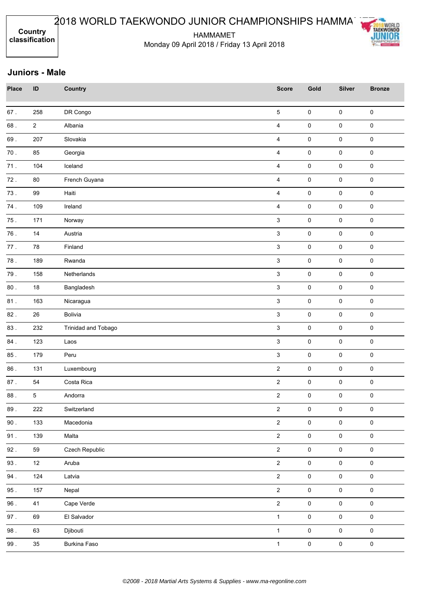HAMMAMET Monday 09 April 2018 / Friday 13 April 2018



| <b>Place</b> | ID             | <b>Country</b>      | <b>Score</b>              | Gold                | <b>Silver</b>       | <b>Bronze</b>       |
|--------------|----------------|---------------------|---------------------------|---------------------|---------------------|---------------------|
| $67$ .       | 258            | DR Congo            | $\sqrt{5}$                | $\pmb{0}$           | $\pmb{0}$           | $\pmb{0}$           |
| 68.          | $\overline{2}$ | Albania             | 4                         | $\pmb{0}$           | $\pmb{0}$           | $\pmb{0}$           |
| 69.          | 207            | Slovakia            | $\overline{4}$            | $\mathbf 0$         | $\pmb{0}$           | $\pmb{0}$           |
| $70.$        | 85             | Georgia             | 4                         | $\pmb{0}$           | $\pmb{0}$           | $\pmb{0}$           |
| 71.          | 104            | Iceland             | 4                         | $\mathsf 0$         | 0                   | $\pmb{0}$           |
| 72.          | 80             | French Guyana       | $\overline{4}$            | $\pmb{0}$           | 0                   | $\pmb{0}$           |
| 73.          | 99             | Haiti               | $\overline{\mathbf{4}}$   | $\pmb{0}$           | 0                   | $\pmb{0}$           |
| 74.          | 109            | Ireland             | 4                         | $\pmb{0}$           | 0                   | $\mathsf 0$         |
| 75.          | 171            | Norway              | $\mathfrak{S}$            | $\pmb{0}$           | $\pmb{0}$           | $\pmb{0}$           |
| 76.          | 14             | Austria             | $\mathbf{3}$              | $\pmb{0}$           | 0                   | $\pmb{0}$           |
| 77.          | 78             | Finland             | $\ensuremath{\mathsf{3}}$ | $\pmb{0}$           | $\pmb{0}$           | $\pmb{0}$           |
| 78.          | 189            | Rwanda              | $\mathbf{3}$              | $\mathbf 0$         | $\pmb{0}$           | $\pmb{0}$           |
| 79.          | 158            | Netherlands         | $\mathbf{3}$              | $\pmb{0}$           | $\pmb{0}$           | $\pmb{0}$           |
| $80$ .       | 18             | Bangladesh          | $\mathbf{3}$              | $\mathsf 0$         | 0                   | $\mathsf 0$         |
| 81.          | 163            | Nicaragua           | $\mathbf{3}$              | $\pmb{0}$           | 0                   | $\pmb{0}$           |
| 82.          | 26             | Bolivia             | $\mathbf{3}$              | $\pmb{0}$           | $\pmb{0}$           | $\mathsf{O}\xspace$ |
| 83.          | 232            | Trinidad and Tobago | 3                         | $\pmb{0}$           | $\pmb{0}$           | $\pmb{0}$           |
| 84.          | 123            | Laos                | 3                         | $\pmb{0}$           | $\pmb{0}$           | $\pmb{0}$           |
| 85.          | 179            | Peru                | 3                         | $\pmb{0}$           | $\pmb{0}$           | $\pmb{0}$           |
| 86.          | 131            | Luxembourg          | $\sqrt{2}$                | $\mathbf 0$         | $\pmb{0}$           | $\pmb{0}$           |
| 87.          | 54             | Costa Rica          | $\overline{2}$            | $\mathbf 0$         | $\pmb{0}$           | $\pmb{0}$           |
| 88.          | 5              | Andorra             | $\sqrt{2}$                | $\mathsf 0$         | 0                   | $\mathsf 0$         |
| 89.          | 222            | Switzerland         | 2                         | 0                   | 0                   | 0                   |
| $90$ .       | 133            | Macedonia           | $\overline{2}$            | $\mathbf 0$         | $\mathbf 0$         | $\mathsf{O}\xspace$ |
| 91.          | 139            | Malta               | $\overline{2}$            | $\mathbf 0$         | $\mathsf{O}\xspace$ | $\mathsf{O}\xspace$ |
| 92.          | 59             | Czech Republic      | $\overline{2}$            | $\mathsf{O}\xspace$ | $\mathbf 0$         | $\mathsf{O}\xspace$ |
| 93.          | 12             | Aruba               | $\overline{2}$            | $\mathsf{O}\xspace$ | $\mathsf{O}\xspace$ | $\mathsf{O}\xspace$ |
| 94.          | 124            | Latvia              | $\overline{2}$            | $\mathbf 0$         | $\mathbf 0$         | $\mathbf 0$         |
| $95$ .       | 157            | Nepal               | $\overline{2}$            | $\mathsf{O}\xspace$ | $\mathsf{O}\xspace$ | $\mathbf 0$         |
| 96.          | 41             | Cape Verde          | $\overline{2}$            | $\mathsf 0$         | $\mathbf 0$         | $\mathsf{O}\xspace$ |
| $97$ .       | 69             | El Salvador         | $\mathbf{1}$              | $\mathbf 0$         | $\pmb{0}$           | $\mathsf{O}\xspace$ |
| $98$ .       | 63             | Djibouti            | $\mathbf{1}$              | $\mathsf 0$         | $\mathbf 0$         | $\mathsf{O}\xspace$ |
| $99$ .       | 35             | <b>Burkina Faso</b> | $\mathbf{1}$              | $\pmb{0}$           | $\mathsf{O}\xspace$ | $\mathsf{O}\xspace$ |